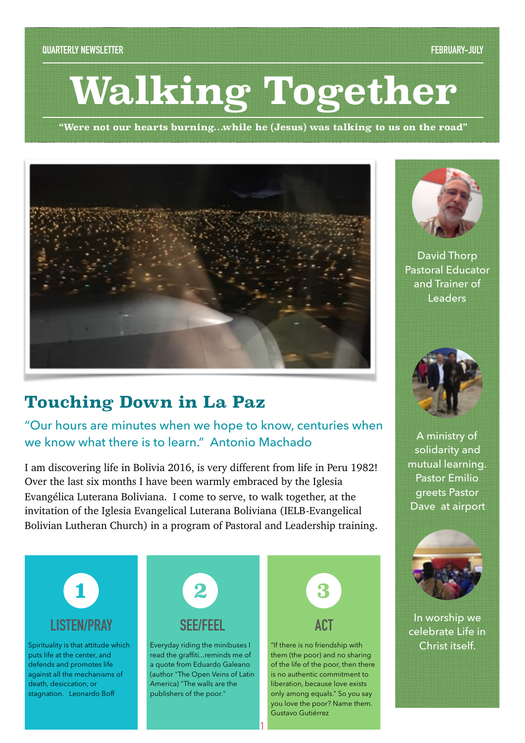# **Walking Together**

**"Were not our hearts burning…while he (Jesus) was talking to us on the road"** 



# **Touching Down in La Paz**

"Our hours are minutes when we hope to know, centuries when we know what there is to learn." Antonio Machado

I am discovering life in Bolivia 2016, is very different from life in Peru 1982! Over the last six months I have been warmly embraced by the Iglesia Evangélica Luterana Boliviana. I come to serve, to walk together, at the invitation of the Iglesia Evangelical Luterana Boliviana (IELB-Evangelical Bolivian Lutheran Church) in a program of Pastoral and Leadership training.



**1**

Gustavo Gutiérrez



David Thorp Pastoral Educator and Trainer of Leaders



A ministry of solidarity and mutual learning. Pastor Emilio greets Pastor Dave at airport



In worship we celebrate Life in Christ itself.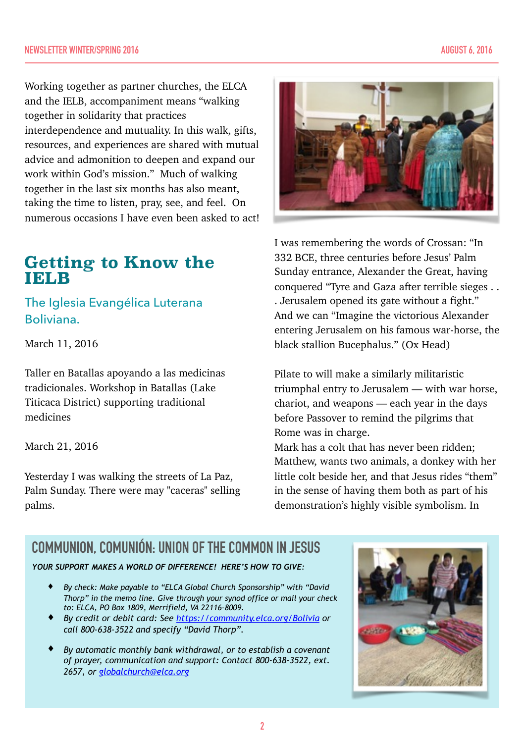Working together as partner churches, the ELCA and the IELB, accompaniment means "walking together in solidarity that practices interdependence and mutuality. In this walk, gifts, resources, and experiences are shared with mutual advice and admonition to deepen and expand our work within God's mission." Much of walking together in the last six months has also meant, taking the time to listen, pray, see, and feel. On numerous occasions I have even been asked to act!

# **Getting to Know the**  IELB

The Iglesia Evangélica Luterana Boliviana.

March 11, 2016

Taller en Batallas apoyando a las medicinas tradicionales. Workshop in Batallas (Lake Titicaca District) supporting traditional medicines

March 21, 2016

Yesterday I was walking the streets of La Paz, Palm Sunday. There were may "caceras" selling palms.



I was remembering the words of Crossan: "In 332 BCE, three centuries before Jesus' Palm Sunday entrance, Alexander the Great, having conquered "Tyre and Gaza after terrible sieges . . . Jerusalem opened its gate without a fight." And we can "Imagine the victorious Alexander entering Jerusalem on his famous war-horse, the black stallion Bucephalus." (Ox Head)

Pilate to will make a similarly militaristic triumphal entry to Jerusalem — with war horse, chariot, and weapons — each year in the days before Passover to remind the pilgrims that Rome was in charge.

Mark has a colt that has never been ridden; Matthew, wants two animals, a donkey with her little colt beside her, and that Jesus rides "them" in the sense of having them both as part of his demonstration's highly visible symbolism. In

# **COMMUNION, COMUNIÓN: UNION OF THE COMMON IN JESUS**

*YOUR SUPPORT MAKES A WORLD OF DIFFERENCE! HERE'S HOW TO GIVE:* 

- ♦ *By check: Make payable to "ELCA Global Church Sponsorship" with "David Thorp" in the memo line. Give through your synod office or mail your check to: ELCA, PO Box 1809, Merrifield, VA 22116-8009.*
- ♦ *By credit or debit card: See <https://community.elca.org/Bolivia> or call 800-638-3522 and specify "David Thorp".*
- ♦ *By automatic monthly bank withdrawal, or to establish a covenant of prayer, communication and support: Contact 800-638-3522, ext. 2657, or [globalchurch@elca.org](mailto:globalchurch@elca.org)*

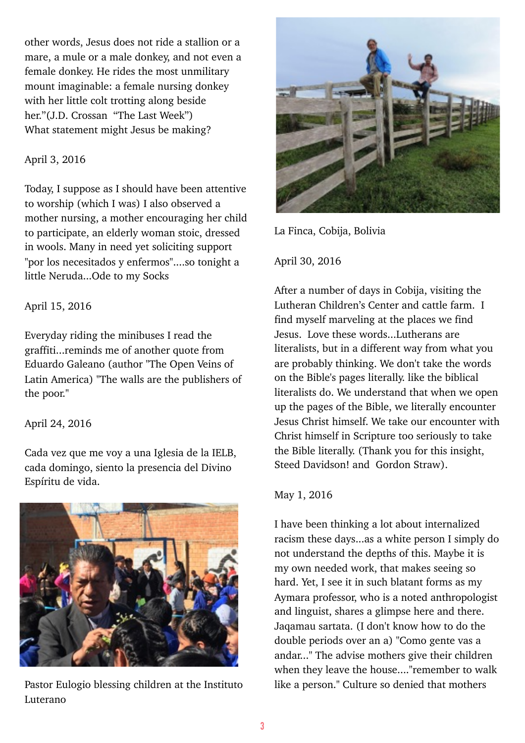other words, Jesus does not ride a stallion or a mare, a mule or a male donkey, and not even a female donkey. He rides the most unmilitary mount imaginable: a female nursing donkey with her little colt trotting along beside her."(J.D. Crossan "The Last Week") What statement might Jesus be making?

# April 3, 2016

Today, I suppose as I should have been attentive to worship (which I was) I also observed a mother nursing, a mother encouraging her child to participate, an elderly woman stoic, dressed in wools. Many in need yet soliciting support "por los necesitados y enfermos"....so tonight a little Neruda...Ode to my Socks

## April 15, 2016

Everyday riding the minibuses I read the graffiti...reminds me of another quote from Eduardo Galeano (author "The Open Veins of Latin America) "The walls are the publishers of the poor."

# April 24, 2016

Cada vez que me voy a una Iglesia de la IELB, cada domingo, siento la presencia del Divino Espíritu de vida.



Pastor Eulogio blessing children at the Instituto Luterano



La Finca, Cobija, Bolivia

# April 30, 2016

After a number of days in Cobija, visiting the Lutheran Children's Center and cattle farm. I find myself marveling at the places we find Jesus. Love these words...Lutherans are literalists, but in a different way from what you are probably thinking. We don't take the words on the Bible's pages literally. like the biblical literalists do. We understand that when we open up the pages of the Bible, we literally encounter Jesus Christ himself. We take our encounter with Christ himself in Scripture too seriously to take the Bible literally. (Thank you for this insight, Steed Davidson! and Gordon Straw).

## May 1, 2016

I have been thinking a lot about internalized racism these days...as a white person I simply do not understand the depths of this. Maybe it is my own needed work, that makes seeing so hard. Yet, I see it in such blatant forms as my Aymara professor, who is a noted anthropologist and linguist, shares a glimpse here and there. Jaqamau sartata. (I don't know how to do the double periods over an a) "Como gente vas a andar..." The advise mothers give their children when they leave the house...."remember to walk like a person." Culture so denied that mothers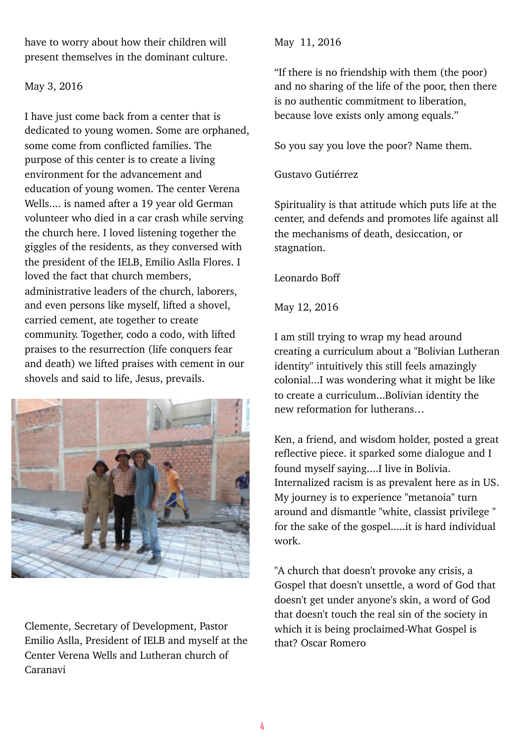have to worry about how their children will present themselves in the dominant culture.

#### May 3, 2016

I have just come back from a center that is dedicated to young women. Some are orphaned, some come from conflicted families. The purpose of this center is to create a living environment for the advancement and education of young women. The center Verena Wells.... is named after a 19 year old German volunteer who died in a car crash while serving the church here. I loved listening together the giggles of the residents, as they conversed with the president of the IELB, Emilio Aslla Flores. I loved the fact that church members, administrative leaders of the church, laborers, and even persons like myself, lifted a shovel, carried cement, ate together to create community. Together, codo a codo, with lifted praises to the resurrection (life conquers fear and death) we lifted praises with cement in our shovels and said to life, Jesus, prevails.



Clemente, Secretary of Development, Pastor Emilio Aslla, President of IELB and myself at the Center Verena Wells and Lutheran church of Caranavi

### May 11, 2016

"If there is no friendship with them (the poor) and no sharing of the life of the poor, then there is no authentic commitment to liberation, because love exists only among equals."

So you say you love the poor? Name them.

# Gustavo Gutiérrez

Spirituality is that attitude which puts life at the center, and defends and promotes life against all the mechanisms of death, desiccation, or stagnation.

Leonardo Boff

May 12, 2016

I am still trying to wrap my head around creating a curriculum about a "Bolivian Lutheran identity" intuitively this still feels amazingly colonial...I was wondering what it might be like to create a curriculum...Bolivian identity the new reformation for lutherans…

Ken, a friend, and wisdom holder, posted a great reflective piece. it sparked some dialogue and I found myself saying....I live in Bolivia. Internalized racism is as prevalent here as in US. My journey is to experience "metanoia" turn around and dismantle "white, classist privilege " for the sake of the gospel.....it is hard individual work.

"A church that doesn't provoke any crisis, a Gospel that doesn't unsettle, a word of God that doesn't get under anyone's skin, a word of God that doesn't touch the real sin of the society in which it is being proclaimed-What Gospel is that? Oscar Romero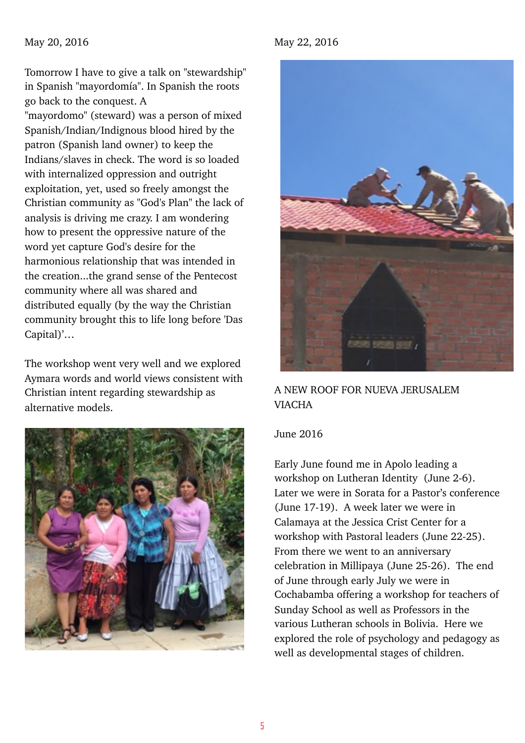#### May 20, 2016

Tomorrow I have to give a talk on "stewardship" in Spanish "mayordomía". In Spanish the roots go back to the conquest. A "mayordomo" (steward) was a person of mixed Spanish/Indian/Indignous blood hired by the patron (Spanish land owner) to keep the Indians/slaves in check. The word is so loaded with internalized oppression and outright exploitation, yet, used so freely amongst the Christian community as "God's Plan" the lack of analysis is driving me crazy. I am wondering how to present the oppressive nature of the word yet capture God's desire for the harmonious relationship that was intended in the creation...the grand sense of the Pentecost community where all was shared and distributed equally (by the way the Christian community brought this to life long before 'Das Capital)'…

The workshop went very well and we explored Aymara words and world views consistent with Christian intent regarding stewardship as alternative models.



#### May 22, 2016



# A NEW ROOF FOR NUEVA JERUSALEM VIACHA

#### June 2016

Early June found me in Apolo leading a workshop on Lutheran Identity (June 2-6). Later we were in Sorata for a Pastor's conference (June 17-19). A week later we were in Calamaya at the Jessica Crist Center for a workshop with Pastoral leaders (June 22-25). From there we went to an anniversary celebration in Millipaya (June 25-26). The end of June through early July we were in Cochabamba offering a workshop for teachers of Sunday School as well as Professors in the various Lutheran schools in Bolivia. Here we explored the role of psychology and pedagogy as well as developmental stages of children.